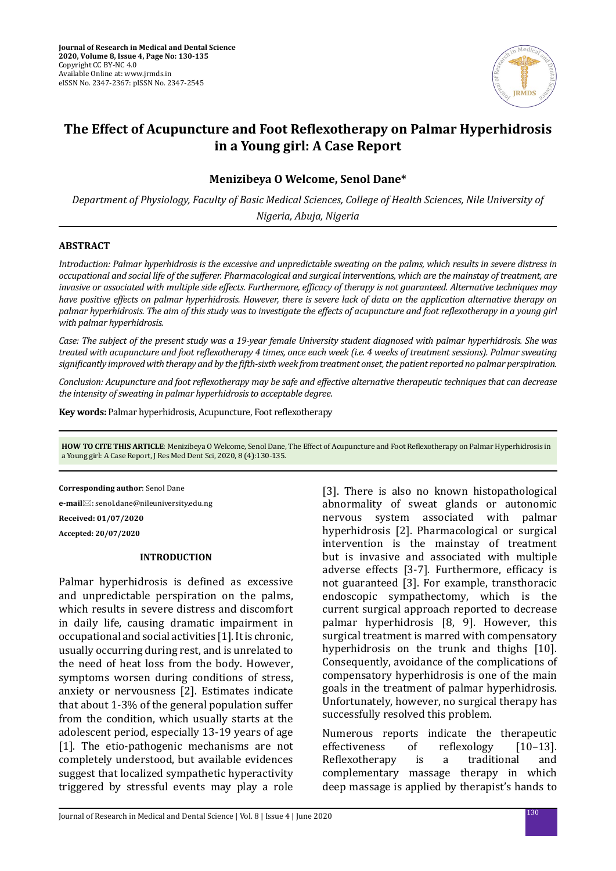

# **The Effect of Acupuncture and Foot Reflexotherapy on Palmar Hyperhidrosis in a Young girl: A Case Report**

# **Menizibeya O Welcome, Senol Dane\***

*Department of Physiology, Faculty of Basic Medical Sciences, College of Health Sciences, Nile University of Nigeria, Abuja, Nigeria*

#### **ABSTRACT**

*Introduction: Palmar hyperhidrosis is the excessive and unpredictable sweating on the palms, which results in severe distress in occupational and social life of the sufferer. Pharmacological and surgical interventions, which are the mainstay of treatment, are invasive or associated with multiple side effects. Furthermore, efficacy of therapy is not guaranteed. Alternative techniques may have positive effects on palmar hyperhidrosis. However, there is severe lack of data on the application alternative therapy on palmar hyperhidrosis. The aim of this study was to investigate the effects of acupuncture and foot reflexotherapy in a young girl with palmar hyperhidrosis.* 

*Case: The subject of the present study was a 19-year female University student diagnosed with palmar hyperhidrosis. She was treated with acupuncture and foot reflexotherapy 4 times, once each week (i.e. 4 weeks of treatment sessions). Palmar sweating significantly improved with therapy and by the fifth-sixth week from treatment onset, the patient reported no palmar perspiration.* 

*Conclusion: Acupuncture and foot reflexotherapy may be safe and effective alternative therapeutic techniques that can decrease the intensity of sweating in palmar hyperhidrosis to acceptable degree.*

**Key words:** Palmar hyperhidrosis, Acupuncture, Foot reflexotherapy

**HOW TO CITE THIS ARTICLE**: Menizibeya O Welcome, Senol Dane, The Effect of Acupuncture and Foot Reflexotherapy on Palmar Hyperhidrosis in a Young girl: A Case Report, J Res Med Dent Sci, 2020, 8 (4):130-135.

**Corresponding author**: Senol Dane **e-mail**: senol.dane@nileuniversity.edu.ng **Received: 01/07/2020 Accepted: 20/07/2020**

#### **INTRODUCTION**

Palmar hyperhidrosis is defined as excessive and unpredictable perspiration on the palms, which results in severe distress and discomfort in daily life, causing dramatic impairment in occupational and social activities [1]. It is chronic, usually occurring during rest, and is unrelated to the need of heat loss from the body. However, symptoms worsen during conditions of stress, anxiety or nervousness [2]. Estimates indicate that about 1-3% of the general population suffer from the condition, which usually starts at the adolescent period, especially 13-19 years of age [1]. The etio-pathogenic mechanisms are not completely understood, but available evidences suggest that localized sympathetic hyperactivity triggered by stressful events may play a role [3]. There is also no known histopathological abnormality of sweat glands or autonomic nervous system associated with palmar hyperhidrosis [2]. Pharmacological or surgical intervention is the mainstay of treatment but is invasive and associated with multiple adverse effects [3-7]. Furthermore, efficacy is not guaranteed [3]. For example, transthoracic endoscopic sympathectomy, which is the current surgical approach reported to decrease palmar hyperhidrosis [8, 9]. However, this surgical treatment is marred with compensatory hyperhidrosis on the trunk and thighs [10]. Consequently, avoidance of the complications of compensatory hyperhidrosis is one of the main goals in the treatment of palmar hyperhidrosis. Unfortunately, however, no surgical therapy has successfully resolved this problem.

Numerous reports indicate the therapeutic<br>effectiveness of reflexology [10-13]. effectiveness of reflexology [14–13].<br>Reflexotherapy is a traditional Reflexotherapy is a traditional and complementary massage therapy in which deep massage is applied by therapist's hands to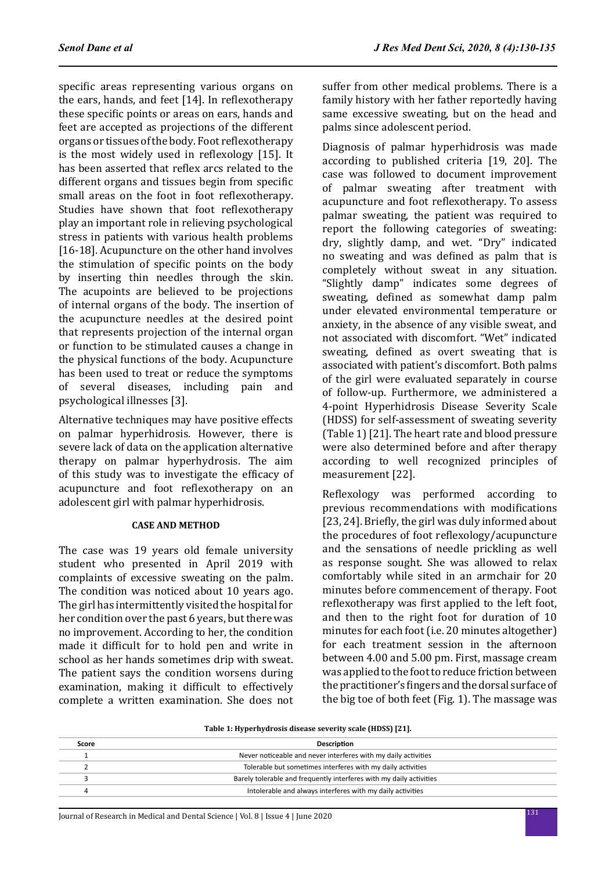specific areas representing various organs on the ears, hands, and feet [14]. In reflexotherapy these specific points or areas on ears, hands and feet are accepted as projections of the different organs or tissues of the body. Foot reflexotherapy is the most widely used in reflexology [15]. It has been asserted that reflex arcs related to the different organs and tissues begin from specific small areas on the foot in foot reflexotherapy. Studies have shown that foot reflexotherapy play an important role in relieving psychological stress in patients with various health problems [16-18]. Acupuncture on the other hand involves the stimulation of specific points on the body by inserting thin needles through the skin. The acupoints are believed to be projections of internal organs of the body. The insertion of the acupuncture needles at the desired point that represents projection of the internal organ or function to be stimulated causes a change in the physical functions of the body. Acupuncture has been used to treat or reduce the symptoms of several diseases, including pain and psychological illnesses [3].

Alternative techniques may have positive effects on palmar hyperhidrosis. However, there is severe lack of data on the application alternative therapy on palmar hyperhydrosis. The aim of this study was to investigate the efficacy of acupuncture and foot reflexotherapy on an adolescent girl with palmar hyperhidrosis.

## **CASE AND METHOD**

The case was 19 years old female university student who presented in April 2019 with complaints of excessive sweating on the palm. The condition was noticed about 10 years ago. The girl has intermittently visited the hospital for her condition over the past 6 years, but there was no improvement. According to her, the condition made it difficult for to hold pen and write in school as her hands sometimes drip with sweat. The patient says the condition worsens during examination, making it difficult to effectively complete a written examination. She does not suffer from other medical problems. There is a family history with her father reportedly having same excessive sweating, but on the head and palms since adolescent period.

Diagnosis of palmar hyperhidrosis was made according to published criteria [19, 20]. The case was followed to document improvement of palmar sweating after treatment with acupuncture and foot reflexotherapy. To assess palmar sweating, the patient was required to report the following categories of sweating: dry, slightly damp, and wet. "Dry" indicated no sweating and was defined as palm that is completely without sweat in any situation. "Slightly damp" indicates some degrees of sweating, defined as somewhat damp palm under elevated environmental temperature or anxiety, in the absence of any visible sweat, and not associated with discomfort. "Wet" indicated sweating, defined as overt sweating that is associated with patient's discomfort. Both palms of the girl were evaluated separately in course of follow-up. Furthermore, we administered a 4-point Hyperhidrosis Disease Severity Scale (HDSS) for self-assessment of sweating severity (Table 1) [21]. The heart rate and blood pressure were also determined before and after therapy according to well recognized principles of measurement [22].

Reflexology was performed according to previous recommendations with modifications [23, 24]. Briefly, the girl was duly informed about the procedures of foot reflexology/acupuncture and the sensations of needle prickling as well as response sought. She was allowed to relax comfortably while sited in an armchair for 20 minutes before commencement of therapy. Foot reflexotherapy was first applied to the left foot, and then to the right foot for duration of 10 minutes for each foot (i.e. 20 minutes altogether) for each treatment session in the afternoon between 4.00 and 5.00 pm. First, massage cream was applied to the foot to reduce friction between the practitioner's fingers and the dorsal surface of the big toe of both feet (Fig. 1). The massage was

**Table 1: Hyperhydrosis disease severity scale (HDSS) [21].**

| Score | <b>Description</b>                                                  |
|-------|---------------------------------------------------------------------|
|       | Never noticeable and never interferes with my daily activities      |
|       | Tolerable but sometimes interferes with my daily activities         |
|       | Barely tolerable and frequently interferes with my daily activities |
|       | Intolerable and always interferes with my daily activities          |
|       |                                                                     |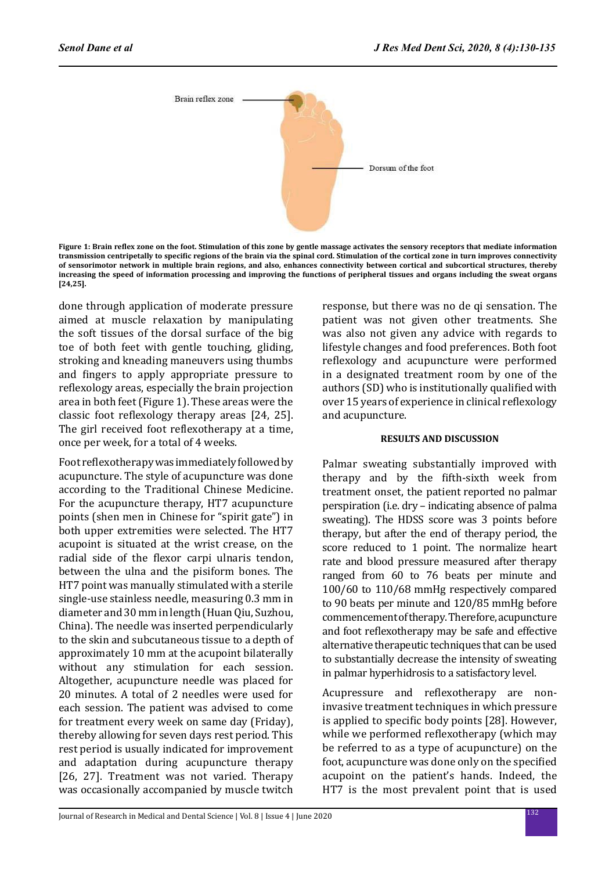

**Figure 1: Brain reflex zone on the foot. Stimulation of this zone by gentle massage activates the sensory receptors that mediate information transmission centripetally to specific regions of the brain via the spinal cord. Stimulation of the cortical zone in turn improves connectivity of sensorimotor network in multiple brain regions, and also, enhances connectivity between cortical and subcortical structures, thereby increasing the speed of information processing and improving the functions of peripheral tissues and organs including the sweat organs [24,25].**

done through application of moderate pressure aimed at muscle relaxation by manipulating the soft tissues of the dorsal surface of the big toe of both feet with gentle touching, gliding, stroking and kneading maneuvers using thumbs and fingers to apply appropriate pressure to reflexology areas, especially the brain projection area in both feet (Figure 1). These areas were the classic foot reflexology therapy areas [24, 25]. The girl received foot reflexotherapy at a time, once per week, for a total of 4 weeks.

Foot reflexotherapy was immediately followed by acupuncture. The style of acupuncture was done according to the Traditional Chinese Medicine. For the acupuncture therapy, HT7 acupuncture points (shen men in Chinese for "spirit gate") in both upper extremities were selected. The HT7 acupoint is situated at the wrist crease, on the radial side of the flexor carpi ulnaris tendon, between the ulna and the pisiform bones. The HT7 point was manually stimulated with a sterile single-use stainless needle, measuring 0.3 mm in diameter and 30 mm in length (Huan Qiu, Suzhou, China). The needle was inserted perpendicularly to the skin and subcutaneous tissue to a depth of approximately 10 mm at the acupoint bilaterally without any stimulation for each session. Altogether, acupuncture needle was placed for 20 minutes. A total of 2 needles were used for each session. The patient was advised to come for treatment every week on same day (Friday), thereby allowing for seven days rest period. This rest period is usually indicated for improvement and adaptation during acupuncture therapy [26, 27]. Treatment was not varied. Therapy was occasionally accompanied by muscle twitch response, but there was no de qi sensation. The patient was not given other treatments. She was also not given any advice with regards to lifestyle changes and food preferences. Both foot reflexology and acupuncture were performed in a designated treatment room by one of the authors (SD) who is institutionally qualified with over 15 years of experience in clinical reflexology and acupuncture.

### **RESULTS AND DISCUSSION**

Palmar sweating substantially improved with therapy and by the fifth-sixth week from treatment onset, the patient reported no palmar perspiration (i.e. dry – indicating absence of palma sweating). The HDSS score was 3 points before therapy, but after the end of therapy period, the score reduced to 1 point. The normalize heart rate and blood pressure measured after therapy ranged from 60 to 76 beats per minute and 100/60 to 110/68 mmHg respectively compared to 90 beats per minute and 120/85 mmHg before commencement of therapy. Therefore, acupuncture and foot reflexotherapy may be safe and effective alternative therapeutic techniques that can be used to substantially decrease the intensity of sweating in palmar hyperhidrosis to a satisfactory level.

Acupressure and reflexotherapy are noninvasive treatment techniques in which pressure is applied to specific body points [28]. However, while we performed reflexotherapy (which may be referred to as a type of acupuncture) on the foot, acupuncture was done only on the specified acupoint on the patient's hands. Indeed, the HT7 is the most prevalent point that is used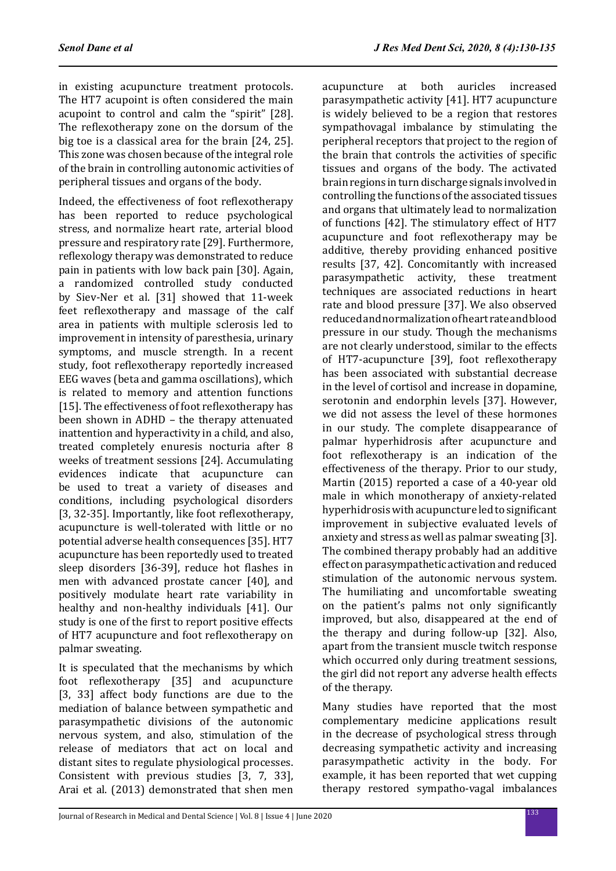in existing acupuncture treatment protocols. The HT7 acupoint is often considered the main acupoint to control and calm the "spirit" [28]. The reflexotherapy zone on the dorsum of the big toe is a classical area for the brain [24, 25]. This zone was chosen because of the integral role of the brain in controlling autonomic activities of peripheral tissues and organs of the body.

Indeed, the effectiveness of foot reflexotherapy has been reported to reduce psychological stress, and normalize heart rate, arterial blood pressure and respiratory rate [29]. Furthermore, reflexology therapy was demonstrated to reduce pain in patients with low back pain [30]. Again, a randomized controlled study conducted by Siev-Ner et al. [31] showed that 11-week feet reflexotherapy and massage of the calf area in patients with multiple sclerosis led to improvement in intensity of paresthesia, urinary symptoms, and muscle strength. In a recent study, foot reflexotherapy reportedly increased EEG waves (beta and gamma oscillations), which is related to memory and attention functions [15]. The effectiveness of foot reflexotherapy has been shown in ADHD – the therapy attenuated inattention and hyperactivity in a child, and also, treated completely enuresis nocturia after 8 weeks of treatment sessions [24]. Accumulating evidences indicate that acupuncture can be used to treat a variety of diseases and conditions, including psychological disorders [3, 32-35]. Importantly, like foot reflexotherapy, acupuncture is well-tolerated with little or no potential adverse health consequences [35]. HT7 acupuncture has been reportedly used to treated sleep disorders [36-39], reduce hot flashes in men with advanced prostate cancer [40], and positively modulate heart rate variability in healthy and non-healthy individuals [41]. Our study is one of the first to report positive effects of HT7 acupuncture and foot reflexotherapy on palmar sweating.

It is speculated that the mechanisms by which foot reflexotherapy [35] and acupuncture [3, 33] affect body functions are due to the mediation of balance between sympathetic and parasympathetic divisions of the autonomic nervous system, and also, stimulation of the release of mediators that act on local and distant sites to regulate physiological processes. Consistent with previous studies [3, 7, 33], Arai et al. (2013) demonstrated that shen men acupuncture at both auricles increased parasympathetic activity [41]. HT7 acupuncture is widely believed to be a region that restores sympathovagal imbalance by stimulating the peripheral receptors that project to the region of the brain that controls the activities of specific tissues and organs of the body. The activated brain regions in turn discharge signals involved in controlling the functions of the associated tissues and organs that ultimately lead to normalization of functions [42]. The stimulatory effect of HT7 acupuncture and foot reflexotherapy may be additive, thereby providing enhanced positive results [37, 42]. Concomitantly with increased parasympathetic activity, these treatment techniques are associated reductions in heart rate and blood pressure [37]. We also observed reduced and normalization of heart rate and blood pressure in our study. Though the mechanisms are not clearly understood, similar to the effects of HT7-acupuncture [39], foot reflexotherapy has been associated with substantial decrease in the level of cortisol and increase in dopamine, serotonin and endorphin levels [37]. However, we did not assess the level of these hormones in our study. The complete disappearance of palmar hyperhidrosis after acupuncture and foot reflexotherapy is an indication of the effectiveness of the therapy. Prior to our study, Martin (2015) reported a case of a 40-year old male in which monotherapy of anxiety-related hyperhidrosis with acupuncture led to significant improvement in subjective evaluated levels of anxiety and stress as well as palmar sweating [3]. The combined therapy probably had an additive effect on parasympathetic activation and reduced stimulation of the autonomic nervous system. The humiliating and uncomfortable sweating on the patient's palms not only significantly improved, but also, disappeared at the end of the therapy and during follow-up [32]. Also, apart from the transient muscle twitch response which occurred only during treatment sessions, the girl did not report any adverse health effects of the therapy.

Many studies have reported that the most complementary medicine applications result in the decrease of psychological stress through decreasing sympathetic activity and increasing parasympathetic activity in the body. For example, it has been reported that wet cupping therapy restored sympatho-vagal imbalances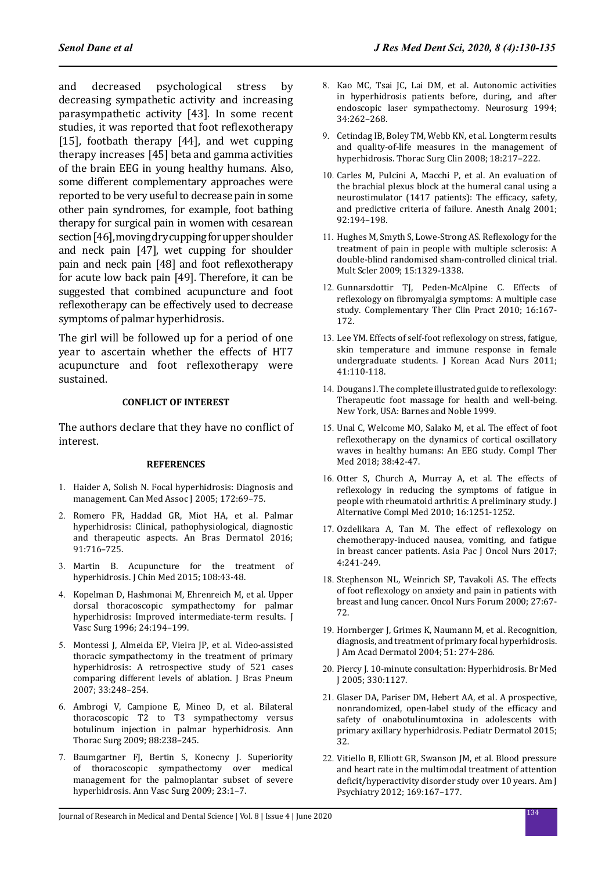and decreased psychological stress by decreasing sympathetic activity and increasing parasympathetic activity [43]. In some recent studies, it was reported that foot reflexotherapy [15], footbath therapy [44], and wet cupping therapy increases [45] beta and gamma activities of the brain EEG in young healthy humans. Also, some different complementary approaches were reported to be very useful to decrease pain in some other pain syndromes, for example, foot bathing therapy for surgical pain in women with cesarean section [46], moving dry cupping for upper shoulder and neck pain [47], wet cupping for shoulder pain and neck pain [48] and foot reflexotherapy for acute low back pain [49]. Therefore, it can be suggested that combined acupuncture and foot reflexotherapy can be effectively used to decrease symptoms of palmar hyperhidrosis.

The girl will be followed up for a period of one year to ascertain whether the effects of HT7 acupuncture and foot reflexotherapy were sustained.

# **CONFLICT OF INTEREST**

The authors declare that they have no conflict of interest.

#### **REFERENCES**

- 1. Haider A, Solish N. Focal hyperhidrosis: Diagnosis and management. Can Med Assoc J 2005; 172:69–75.
- 2. Romero FR, Haddad GR, Miot HA, et al. Palmar hyperhidrosis: Clinical, pathophysiological, diagnostic and therapeutic aspects. An Bras Dermatol 2016; 91:716–725.
- 3. Martin B. Acupuncture for the treatment of hyperhidrosis. J Chin Med 2015; 108:43-48.
- 4. Kopelman D, Hashmonai M, Ehrenreich M, et al. Upper dorsal thoracoscopic sympathectomy for palmar hyperhidrosis: Improved intermediate-term results. J Vasc Surg 1996; 24:194–199.
- 5. Montessi J, Almeida EP, Vieira JP, et al. Video‐assisted thoracic sympathectomy in the treatment of primary hyperhidrosis: A retrospective study of 521 cases comparing different levels of ablation. J Bras Pneum 2007; 33:248–254.
- 6. Ambrogi V, Campione E, Mineo D, et al. Bilateral thoracoscopic T2 to T3 sympathectomy versus botulinum injection in palmar hyperhidrosis. Ann Thorac Surg 2009; 88:238–245.
- 7. Baumgartner FJ, Bertin S, Konecny J. Superiority of thoracoscopic sympathectomy over medical management for the palmoplantar subset of severe hyperhidrosis. Ann Vasc Surg 2009; 23:1–7.
- 8. Kao MC, Tsai JC, Lai DM, et al. Autonomic activities in hyperhidrosis patients before, during, and after endoscopic laser sympathectomy. Neurosurg 1994; 34:262–268.
- 9. Cetindag IB, Boley TM, Webb KN, et al. Longterm results and quality-of-life measures in the management of hyperhidrosis. Thorac Surg Clin 2008; 18:217–222.
- 10. Carles M, Pulcini A, Macchi P, et al. An evaluation of the brachial plexus block at the humeral canal using a neurostimulator (1417 patients): The efficacy, safety, and predictive criteria of failure. Anesth Analg 2001; 92:194–198.
- 11. Hughes M, Smyth S, Lowe-Strong AS. Reflexology for the treatment of pain in people with multiple sclerosis: A double-blind randomised sham-controlled clinical trial. Mult Scler 2009; 15:1329-1338.
- 12. Gunnarsdottir TJ, Peden-McAlpine C. Effects of reflexology on fibromyalgia symptoms: A multiple case study. Complementary Ther Clin Pract 2010; 16:167- 172.
- 13. Lee YM. Effects of self-foot reflexology on stress, fatigue, skin temperature and immune response in female undergraduate students. J Korean Acad Nurs 2011; 41:110-118.
- 14. Dougans I. The complete illustrated guide to reflexology: Therapeutic foot massage for health and well-being. New York, USA: Barnes and Noble 1999.
- 15. Unal C, Welcome MO, Salako M, et al. The effect of foot reflexotherapy on the dynamics of cortical oscillatory waves in healthy humans: An EEG study. Compl Ther Med 2018; 38:42-47.
- 16. Otter S, Church A, Murray A, et al. The effects of reflexology in reducing the symptoms of fatigue in people with rheumatoid arthritis: A preliminary study. J Alternative Compl Med 2010; 16:1251-1252.
- 17. Ozdelikara A, Tan M. The effect of reflexology on chemotherapy-induced nausea, vomiting, and fatigue in breast cancer patients. Asia Pac J Oncol Nurs 2017; 4:241-249.
- 18. Stephenson NL, Weinrich SP, Tavakoli AS. The effects of foot reflexology on anxiety and pain in patients with breast and lung cancer. Oncol Nurs Forum 2000; 27:67- 72.
- 19. Hornberger J, Grimes K, Naumann M, et al. Recognition, diagnosis, and treatment of primary focal hyperhidrosis. J Am Acad Dermatol 2004; 51: 274-286.
- 20. Piercy J. 10-minute consultation: Hyperhidrosis. Br Med J 2005; 330:1127.
- 21. Glaser DA, Pariser DM, Hebert AA, et al. A prospective, nonrandomized, open-label study of the efficacy and safety of onabotulinumtoxina in adolescents with primary axillary hyperhidrosis. Pediatr Dermatol 2015; 32.
- 22. Vitiello B, Elliott GR, Swanson JM, et al. Blood pressure and heart rate in the multimodal treatment of attention deficit/hyperactivity disorder study over 10 years. Am J Psychiatry 2012; 169:167–177.